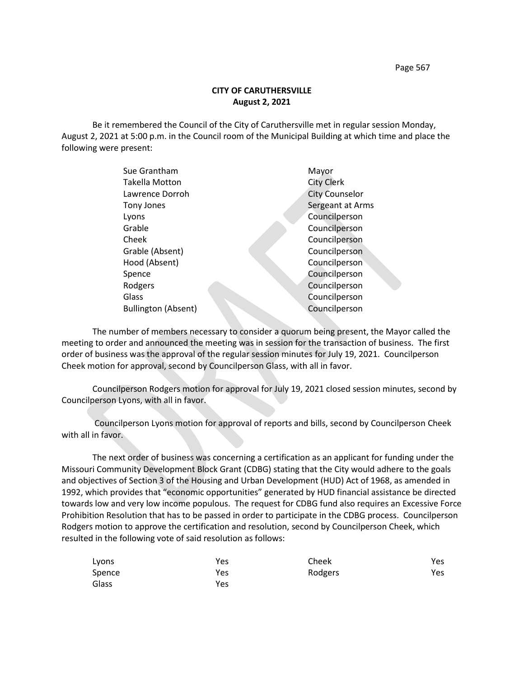Page 567

# **CITY OF CARUTHERSVILLE August 2, 2021**

Be it remembered the Council of the City of Caruthersville met in regular session Monday, August 2, 2021 at 5:00 p.m. in the Council room of the Municipal Building at which time and place the following were present:

|            | Sue Grantham               | Mayor                 |
|------------|----------------------------|-----------------------|
|            | <b>Takella Motton</b>      | <b>City Clerk</b>     |
|            | Lawrence Dorroh            | <b>City Counselor</b> |
| Tony Jones |                            | Sergeant at Arms      |
| Lyons      |                            | Councilperson         |
| Grable     |                            | Councilperson         |
| Cheek      |                            | Councilperson         |
|            | Grable (Absent)            | Councilperson         |
|            | Hood (Absent)              | Councilperson         |
| Spence     |                            | Councilperson         |
| Rodgers    |                            | Councilperson         |
| Glass      |                            | Councilperson         |
|            | <b>Bullington (Absent)</b> | Councilperson         |
|            |                            |                       |

The number of members necessary to consider a quorum being present, the Mayor called the meeting to order and announced the meeting was in session for the transaction of business. The first order of business was the approval of the regular session minutes for July 19, 2021. Councilperson Cheek motion for approval, second by Councilperson Glass, with all in favor.

Councilperson Rodgers motion for approval for July 19, 2021 closed session minutes, second by Councilperson Lyons, with all in favor.

Councilperson Lyons motion for approval of reports and bills, second by Councilperson Cheek with all in favor.

The next order of business was concerning a certification as an applicant for funding under the Missouri Community Development Block Grant (CDBG) stating that the City would adhere to the goals and objectives of Section 3 of the Housing and Urban Development (HUD) Act of 1968, as amended in 1992, which provides that "economic opportunities" generated by HUD financial assistance be directed towards low and very low income populous. The request for CDBG fund also requires an Excessive Force Prohibition Resolution that has to be passed in order to participate in the CDBG process. Councilperson Rodgers motion to approve the certification and resolution, second by Councilperson Cheek, which resulted in the following vote of said resolution as follows:

| Lyons  | Yes | Cheek   | Yes |
|--------|-----|---------|-----|
| Spence | Yes | Rodgers | Yes |
| Glass  | Yes |         |     |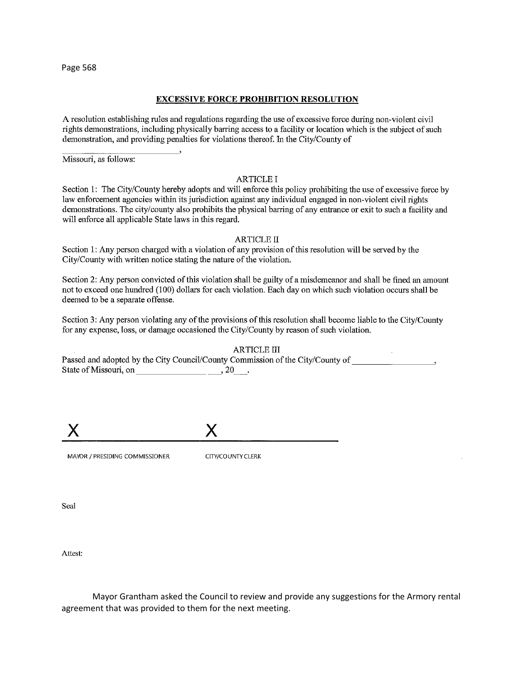Page 568

## **EXCESSIVE FORCE PROHIBITION RESOLUTION**

A resolution establishing rules and regulations regarding the use of excessive force during non-violent civil rights demonstrations, including physically barring access to a facility or location which is the subject of such demonstration, and providing penalties for violations thereof. In the City/County of

Missouri, as follows:

#### **ARTICLE I**

Section 1: The City/County hereby adopts and will enforce this policy prohibiting the use of excessive force by law enforcement agencies within its jurisdiction against any individual engaged in non-violent civil rights demonstrations. The city/county also prohibits the physical barring of any entrance or exit to such a facility and will enforce all applicable State laws in this regard.

## **ARTICLE II**

Section 1: Any person charged with a violation of any provision of this resolution will be served by the City/County with written notice stating the nature of the violation.

Section 2: Any person convicted of this violation shall be guilty of a misdemeanor and shall be fined an amount not to exceed one hundred (100) dollars for each violation. Each day on which such violation occurs shall be deemed to be a separate offense.

Section 3: Any person violating any of the provisions of this resolution shall become liable to the City/County for any expense, loss, or damage occasioned the City/County by reason of such violation.

**ARTICLE III** Passed and adopted by the City Council/County Commission of the City/County of  $\sim$ State of Missouri, on the contract of Missouri, on the contract of Missouri, on the contract of Missouri, and  $(20 - 1.5)$ 

MAYOR / PRESIDING COMMISSIONER

CITY/COUNTY CLERK

Seal

Attest:

Mayor Grantham asked the Council to review and provide any suggestions for the Armory rental agreement that was provided to them for the next meeting.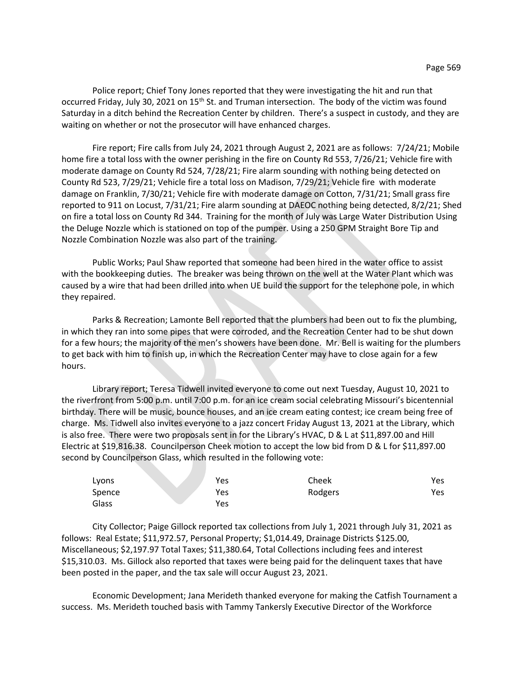Police report; Chief Tony Jones reported that they were investigating the hit and run that occurred Friday, July 30, 2021 on 15<sup>th</sup> St. and Truman intersection. The body of the victim was found Saturday in a ditch behind the Recreation Center by children. There's a suspect in custody, and they are waiting on whether or not the prosecutor will have enhanced charges.

Fire report; Fire calls from July 24, 2021 through August 2, 2021 are as follows: 7/24/21; Mobile home fire a total loss with the owner perishing in the fire on County Rd 553, 7/26/21; Vehicle fire with moderate damage on County Rd 524, 7/28/21; Fire alarm sounding with nothing being detected on County Rd 523, 7/29/21; Vehicle fire a total loss on Madison, 7/29/21; Vehicle fire with moderate damage on Franklin, 7/30/21; Vehicle fire with moderate damage on Cotton, 7/31/21; Small grass fire reported to 911 on Locust, 7/31/21; Fire alarm sounding at DAEOC nothing being detected, 8/2/21; Shed on fire a total loss on County Rd 344. Training for the month of July was Large Water Distribution Using the Deluge Nozzle which is stationed on top of the pumper. Using a 250 GPM Straight Bore Tip and Nozzle Combination Nozzle was also part of the training.

Public Works; Paul Shaw reported that someone had been hired in the water office to assist with the bookkeeping duties. The breaker was being thrown on the well at the Water Plant which was caused by a wire that had been drilled into when UE build the support for the telephone pole, in which they repaired.

Parks & Recreation; Lamonte Bell reported that the plumbers had been out to fix the plumbing, in which they ran into some pipes that were corroded, and the Recreation Center had to be shut down for a few hours; the majority of the men's showers have been done. Mr. Bell is waiting for the plumbers to get back with him to finish up, in which the Recreation Center may have to close again for a few hours.

Library report; Teresa Tidwell invited everyone to come out next Tuesday, August 10, 2021 to the riverfront from 5:00 p.m. until 7:00 p.m. for an ice cream social celebrating Missouri's bicentennial birthday. There will be music, bounce houses, and an ice cream eating contest; ice cream being free of charge. Ms. Tidwell also invites everyone to a jazz concert Friday August 13, 2021 at the Library, which is also free. There were two proposals sent in for the Library's HVAC, D & L at \$11,897.00 and Hill Electric at \$19,816.38. Councilperson Cheek motion to accept the low bid from D & L for \$11,897.00 second by Councilperson Glass, which resulted in the following vote:

| Lyons  | Yes | Cheek   | Yes |
|--------|-----|---------|-----|
| Spence | Yes | Rodgers | Yes |
| Glass  | Yes |         |     |

City Collector; Paige Gillock reported tax collections from July 1, 2021 through July 31, 2021 as follows: Real Estate; \$11,972.57, Personal Property; \$1,014.49, Drainage Districts \$125.00, Miscellaneous; \$2,197.97 Total Taxes; \$11,380.64, Total Collections including fees and interest \$15,310.03. Ms. Gillock also reported that taxes were being paid for the delinquent taxes that have been posted in the paper, and the tax sale will occur August 23, 2021.

Economic Development; Jana Merideth thanked everyone for making the Catfish Tournament a success. Ms. Merideth touched basis with Tammy Tankersly Executive Director of the Workforce